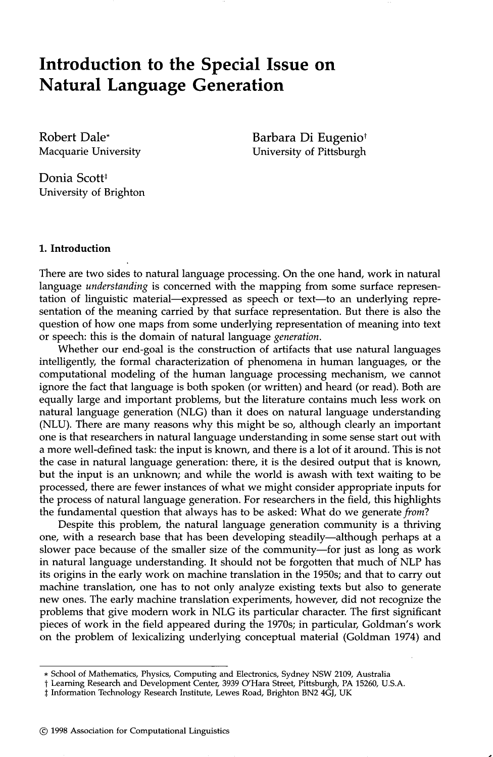# **Introduction to the Special Issue on Natural Language Generation**

Robert Dale\* Macquarie University Barbara Di Eugenio<sup>†</sup> University of Pittsburgh

Donia Scott<sup>#</sup> University of Brighton

### **1. Introduction**

There are two sides to natural language processing. On the one hand, work in natural language *understanding* is concerned with the mapping from some surface representation of linguistic material—expressed as speech or text—to an underlying representation of the meaning carried by that surface representation. But there is also the question of how one maps from some underlying representation of meaning into text or speech: this is the domain of natural language *generation.* 

Whether our end-goal is the construction of artifacts that use natural languages intelligently, the formal characterization of phenomena in human languages, or the computational modeling of the human language processing mechanism, we cannot ignore the fact that language is both spoken (or written) and heard (or read). Both are equally large and important problems, but the literature contains much less work on natural language generation (NLG) than it does on natural language understanding (NLU). There are many reasons why this might be so, although clearly an important one is that researchers in natural language understanding in some sense start out with a more well-defined task: the input is known, and there is a lot of it around. This is not the case in natural language generation: there, it is the desired output that is known, but the input is an unknown; and while the world is awash with text waiting to be processed, there are fewer instances of what we might consider appropriate inputs for the process of natural language generation. For researchers in the field, this highlights the fundamental question that always has to be asked: What do we generate *from?* 

Despite this problem, the natural language generation community is a thriving one, with a research base that has been developing steadily--although perhaps at a slower pace because of the smaller size of the community-for just as long as work in natural language understanding. It should not be forgotten that much of NLP has its origins in the early work on machine translation in the 1950s; and that to carry out machine translation, one has to not only analyze existing texts but also to generate new ones. The early machine translation experiments, however, did not recognize the problems that give modern work in NLG its particular character. The first significant pieces of work in the field appeared during the 1970s; in particular, Goldman's work on the problem of lexicalizing underlying conceptual material (Goldman 1974) and

<sup>\*</sup> School of Mathematics, Physics, Computing and Electronics, Sydney NSW 2109, Australia

t Learning Research and Development Center, 3939 O'Hara Street, Pittsburgh, PA 15260, U.S.A.

 $\ddagger$  Information Technology Research Institute, Lewes Road, Brighton BN2 4GJ, UK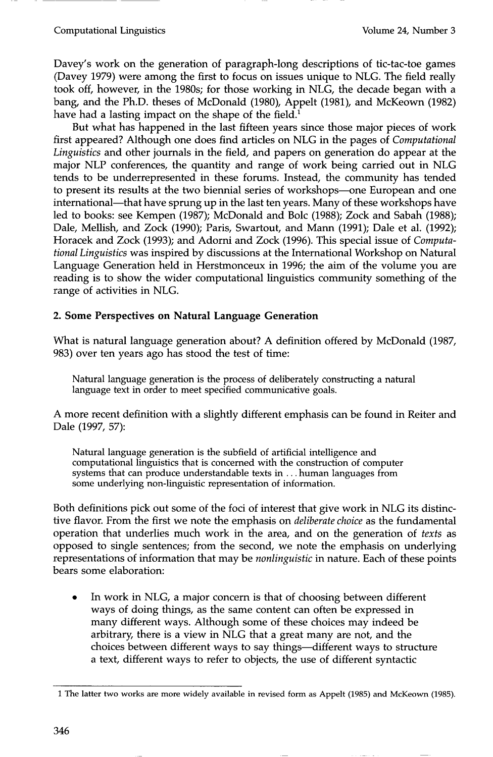### Computational Linguistics Volume 24, Number 3

Davey's work on the generation of paragraph-long descriptions of tic-tac-toe games (Davey 1979) were among the first to focus on issues unique to NLG. The field really took off, however, in the 1980s; for those working in NLG, the decade began with a bang, and the Ph.D. theses of McDonald (1980), Appelt (1981), and McKeown (1982) have had a lasting impact on the shape of the field.<sup>1</sup>

But what has happened in the last fifteen years since those major pieces of work first appeared? Although one does find articles on NLG in the pages of *Computational Linguistics* and other journals in the field, and papers on generation do appear at the major NLP conferences, the quantity and range of work being carried out in NLG tends to be underrepresented in these forums. Instead, the community has tended to present its results at the two biennial series of workshops--one European and one international—that have sprung up in the last ten years. Many of these workshops have led to books: see Kempen (1987); McDonald and Bolc (1988); Zock and Sabah (1988); Dale, Mellish, and Zock (1990); Paris, Swartout, and Mann (1991); Dale et al. (1992); Horacek and Zock (1993); and Adorni and Zock (1996). This special issue of *Computational Linguistics* was inspired by discussions at the International Workshop on Natural Language Generation held in Herstmonceux in 1996; the aim of the volume you are reading is to show the wider computational linguistics community something of the range of activities in NLG.

## **2. Some Perspectives on Natural Language Generation**

What is natural language generation about? A definition offered by McDonald (1987, 983) over ten years ago has stood the test of time:

Natural language generation is the process of deliberately constructing a natural language text in order to meet specified communicative goals.

A more recent definition with a slightly different emphasis can be found in Reiter and Dale (1997, 57):

Natural language generation is the subfield of artificial intelligence and computational linguistics that is concerned with the construction of computer systems that can produce understandable texts in... human languages from some underlying non-linguistic representation of information.

Both definitions pick out some of the foci of interest that give work in NLG its distinctive flavor. From the first we note the emphasis on *deliberate choice* as the fundamental operation that underlies much work in the area, and on the generation of *texts* as opposed to single sentences; from the second, we note the emphasis on underlying representations of information that may be *nonlinguistic* in nature. Each of these points bears some elaboration:

In work in NLG, a major concern is that of choosing between different ways of doing things, as the same content can often be expressed in many different ways. Although some of these choices may indeed be arbitrary, there is a view in NLG that a great many are not, and the choices between different ways to say things--different ways to structure a text, different ways to refer to objects, the use of different syntactic

<sup>1</sup> The latter two works are more widely available in revised form as Appelt (1985) and McKeown (1985).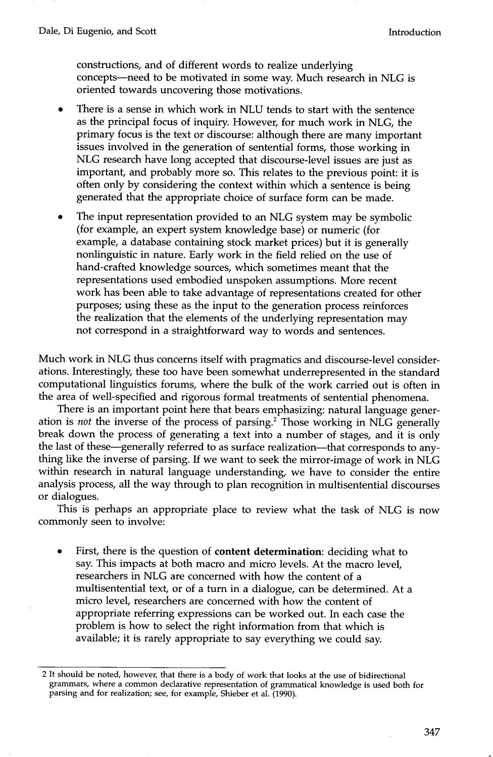constructions, and of different words to realize underlying concepts--need to be motivated in some way. Much research in NLG is oriented towards uncovering those motivations.

- There is a sense in which work in NLU tends to start with the sentence as the principal focus of inquiry. However, for much work in NLG, the primary focus is the text or discourse: although there are many important issues involved in the generation of sentential forms, those working in NLG research have long accepted that discourse-level issues are just as important, and probably more so. This relates to the previous point: it is often only by considering the context within which a sentence is being generated that the appropriate choice of surface form can be made.
- The input representation provided to an NLG system may be symbolic (for example, an expert system knowledge base) or numeric (for example, a database containing stock market prices) but it is generally nonlinguistic in nature. Early work in the field relied on the use of hand-crafted knowledge sources, which sometimes meant that the representations used embodied unspoken assumptions. More recent work has been able to take advantage of representations created for other purposes; using these as the input to the generation process reinforces the realization that the elements of the underlying representation may not correspond in a straightforward way to words and sentences.

Much work in NLG thus concerns itself with pragmatics and discourse-level considerations. Interestingly, these too have been somewhat underrepresented in the standard computational linguistics forums, where the bulk of the work carried out is often in the area of well-specified and rigorous formal treatments of sentential phenomena.

There is an important point here that bears emphasizing: natural language generation is *not* the inverse of the process of parsing. 2 Those working in NLG generally break down the process of generating a text into a number of stages, and it is only the last of these—generally referred to as surface realization—that corresponds to anything like the inverse of parsing. If we want to seek the mirror-image of work in NLG within research in natural language understanding, we have to consider the entire analysis process, all the way through to plan recognition in multisentential discourses or dialogues.

This is perhaps an appropriate place to review what the task of NLG is now commonly seen to involve:

First, there is the question of **content determination:** deciding what to say. This impacts at both macro and micro levels. At the macro level researchers in NLG are concerned with how the content of a multisentential text, or of a turn in a dialogue, can be determined. At a micro level, researchers are concerned with how the content of appropriate referring expressions can be worked out. In each case the problem is how to select the right information from that which is available; it is rarely appropriate to say everything we could say.

<sup>2</sup> It should be noted, however, that there is a body of work that looks at the use of bidirectional grammars, where a common declarative representation of grarmnatical knowledge is used both for parsing and for realization; see, for example, Shieber et al. (1990).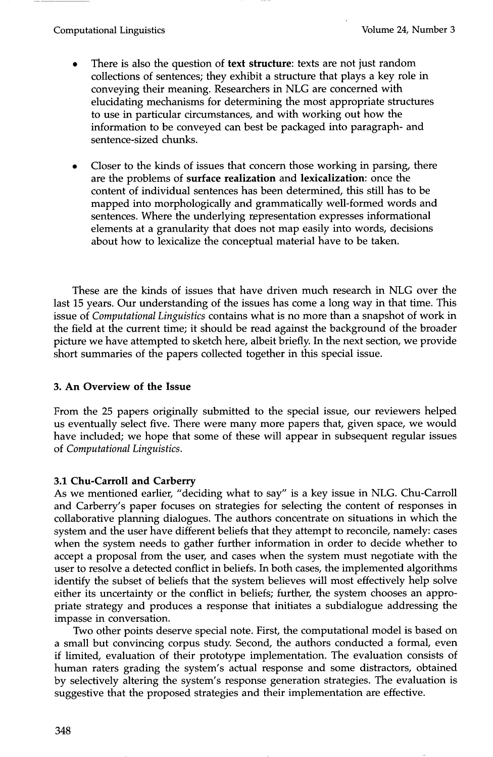- There is also the question of **text structure:** texts are not just random collections of sentences; they exhibit a structure that plays a key role in conveying their meaning. Researchers in NLG are concerned with elucidating mechanisms for determining the most appropriate structures to use in particular circumstances, and with working out how the information to be conveyed can best be packaged into paragraph- and sentence-sized chunks.
- Closer to the kinds of issues that concern those working in parsing, there are the problems of **surface realization and lexicalization:** once the content of individual sentences has been determined, this still has to be mapped into morphologically and grammatically well-formed words and sentences. Where the underlying representation expresses informational elements at a granularity that does not map easily into words, decisions about how to lexicalize the conceptual material have to be taken.

These are the kinds of issues that have driven much research in NLG over the last 15 years. Our understanding of the issues has come a long way in that time. This issue of *Computational Linguistics* contains what is no more than a snapshot of work in the field at the current time; it should be read against the background of the broader picture we have attempted to sketch here, albeit briefly. In the next section, we provide short summaries of the papers collected together in this special issue.

# **3. An Overview of the Issue**

From the 25 papers originally submitted to the special issue, our reviewers helped us eventually select five. There were many more papers that, given space, we would have included; we hope that some of these will appear in subsequent regular issues of *Computational Linguistics.* 

# **3.1 Chu-Carroll and Carberry**

As we mentioned earlier, "deciding what to say" is a key issue in NLG. Chu-Carroll and Carberry's paper focuses on strategies for selecting the content of responses in collaborative planning dialogues. The authors concentrate on situations in which the system and the user have different beliefs that they attempt to reconcile, namely: cases when the system needs to gather further information in order to decide whether to accept a proposal from the user, and cases when the system must negotiate with the user to resolve a detected conflict in beliefs. In both cases, the implemented algorithms identify the subset of beliefs that the system believes will most effectively help solve either its uncertainty or the conflict in beliefs; further, the system chooses an appropriate strategy and produces a response that initiates a subdialogue addressing the :impasse in conversation.

Two other points deserve special note. First, the computational model is based on a small but convincing corpus study. Second, the authors conducted a formal, even if limited, evaluation of their prototype implementation. The evaluation consists of human raters grading the system's actual response and some distractors, obtained by selectively altering the system's response generation strategies. The evaluation is suggestive that the proposed strategies and their implementation are effective.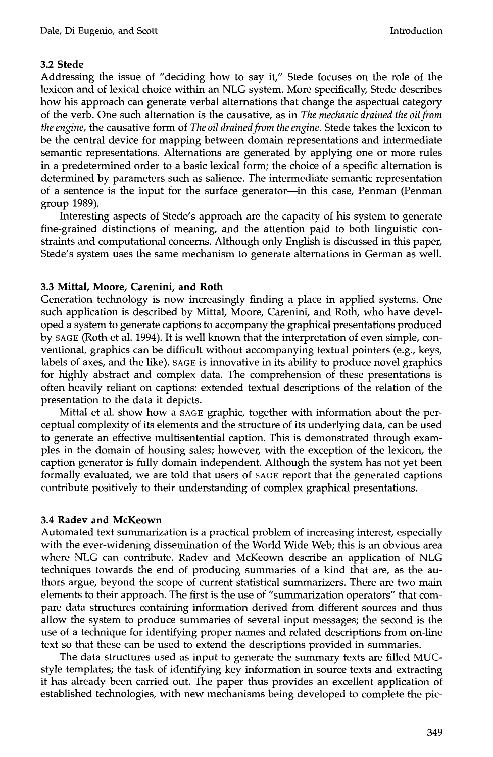# **3.2 Stede**

Addressing the issue of "deciding how to say it," Stede focuses on the role of the lexicon and of lexical choice within an NLG system. More specifically, Stede describes how his approach can generate verbal alternations that change the aspectual category of the verb. One such alternation is the causative, as in *The mechanic drained the oil from the engine,* the causative form of *The oil drained from the engine.* Stede takes the lexicon to be the central device for mapping between domain representations and intermediate semantic representations. Alternations are generated by applying one or more rules in a predetermined order to a basic lexical form; the choice of a specific alternation is determined by parameters such as salience. The intermediate semantic representation of a sentence is the input for the surface generator--in this case, Penman (Penman group 1989).

Interesting aspects of Stede's approach are the capacity of his system to generate fine-grained distinctions of meaning, and the attention paid to both linguistic constraints and computational concerns. Although only English is discussed in this paper, Stede's system uses the same mechanism to generate alternations in German as well.

## **3.3 Mittal, Moore, Carenini, and Roth**

Generation technology is now increasingly finding a place in applied systems. One such application is described by Mittal, Moore, Carenini, and Roth, who have developed a system to generate captions to accompany the graphical presentations produced by SAGE (Roth et al. 1994). It is well known that the interpretation of even simple, conventional, graphics can be difficult without accompanying textual pointers (e.g., keys, labels of axes, and the like). SAGE is innovative in its ability to produce novel graphics for highly abstract and complex data. The comprehension of these presentations is often heavily reliant on captions: extended textual descriptions of the relation of the presentation to the data it depicts.

Mittal et al. show how a SAGE graphic, together with information about the perceptual complexity of its elements and the structure of its underlying data, can be used to generate an effective multisentential caption. This is demonstrated through examples in the domain of housing sales; however, with the exception of the lexicon, the caption generator is fully domain independent. Although the system has not yet been formally evaluated, we are told that users of SAGE report that the generated captions contribute positively to their understanding of complex graphical presentations.

# **3.4 Radev and McKeown**

Automated text summarization is a practical problem of increasing interest, especially with the ever-widening dissemination of the World Wide Web; this is an obvious area where NLG can contribute. Radev and McKeown describe an application of NLG techniques towards the end of producing summaries of a kind that are, as the authors argue, beyond the scope of current statistical summarizers. There are two main elements to their approach. The first is the use of "summarization operators" that compare data structures containing information derived from different sources and thus allow the system to produce summaries of several input messages; the second is the use of a technique for identifying proper names and related descriptions from on-line text so that these can be used to extend the descriptions provided in summaries.

The data structures used as input to generate the summary texts are filled MUCstyle templates; the task of identifying key information in source texts and extracting it has already been carried out. The paper thus provides an excellent application of established technologies, with new mechanisms being developed to complete the pic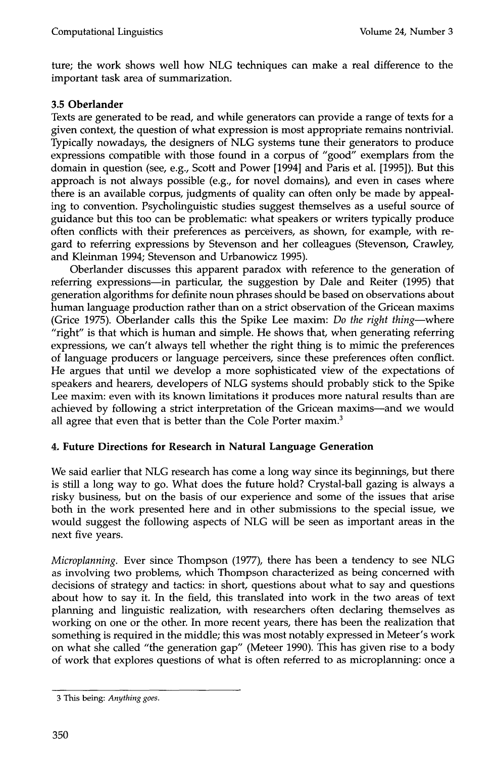ture; the work shows well how NLG techniques can make a real difference to the important task area of summarization.

# **3.50berlander**

Texts are generated to be read, and while generators can provide a range of texts for a given context, the question of what expression is most appropriate remains nontrivial. Typically nowadays, the designers of NLG systems tune their generators to produce expressions compatible with those found in a corpus of "good" exemplars from the domain in question (see, e.g., Scott and Power [1994] and Paris et al. [1995]). But this approach is not always possible (e.g., for novel domains), and even in cases where there is an available corpus, judgments of quality can often only be made by appealing to convention. Psycholinguistic studies suggest themselves as a useful source of guidance but this too can be problematic: what speakers or writers typically produce often conflicts with their preferences as perceivers, as shown, for example, with regard to referring expressions by Stevenson and her colleagues (Stevenson, Crawley, and Kleinman 1994; Stevenson and Urbanowicz 1995).

Oberlander discusses this apparent paradox with reference to the generation of referring expressions-in particular, the suggestion by Dale and Reiter (1995) that generation algorithms for definite noun phrases should be based on observations about human language production rather than on a strict observation of the Gricean maxims (Grice 1975). Oberlander calls this the Spike Lee maxim: *Do the right thing--where*  "right" is that which is human and simple. He shows that, when generating referring expressions, we can't always tell whether the right thing is to mimic the preferences of language producers or language perceivers, since these preferences often conflict. He argues that until we develop a more sophisticated view of the expectations of speakers and hearers, developers of NLG systems should probably stick to the Spike Lee maxim: even with its known limitations it produces more natural results than are achieved by following a strict interpretation of the Gricean maxims--and we would all agree that even that is better than the Cole Porter maxim.<sup>3</sup>

# **4. Future Directions for Research in Natural Language Generation**

We said earlier that NLG research has come a long way since its beginnings, but there is still a long way to go. What does the future hold? Crystal-ball gazing is always a risky business, but on the basis of our experience and some of the issues that arise both in the work presented here and in other submissions to the special issue, we would suggest the following aspects of NLG will be seen as important areas in the next five years.

*Microplanning.* Ever since Thompson (1977), there has been a tendency to see NLG as involving two problems, which Thompson characterized as being concerned with decisions of strategy and tactics: in short, questions about what to say and questions about how to say it. In the field, this translated into work in the two areas of text planning and linguistic realization, with researchers often declaring themselves as working on one or the other. In more recent years, there has been the realization that something is required in the middle; this was most notably expressed in Meteer's work on what she called "the generation gap" (Meteer 1990). This has given rise to a body of work that explores questions of what is often referred to as microplanning: once a

<sup>3</sup> This being: *Anything goes.*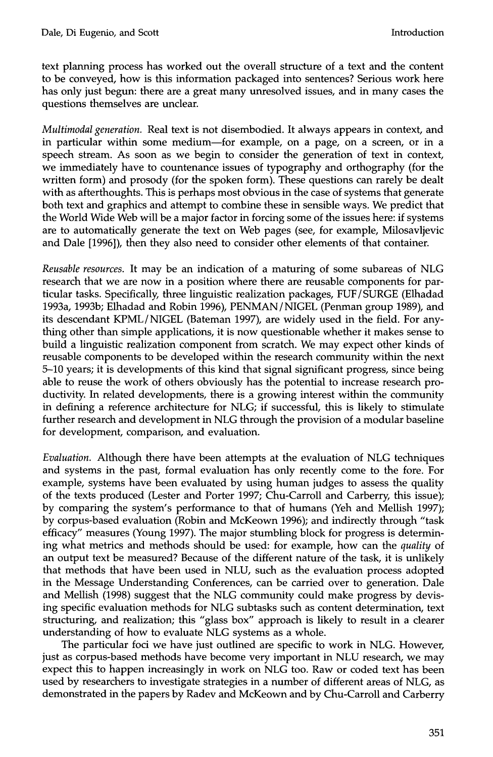text planning process has worked out the overall structure of a text and the content to be conveyed, how is this information packaged into sentences? Serious work here has only just begun: there are a great many unresolved issues, and in many cases the questions themselves are unclear.

*Multimodal generation.* Real text is not disembodied. It always appears in context, and in particular within some medium-for example, on a page, on a screen, or in a speech stream. As soon as we begin to consider the generation of text in context, we immediately have to countenance issues of typography and orthography (for the written form) and prosody (for the spoken form). These questions can rarely be dealt with as afterthoughts. This is perhaps most obvious in the case of systems that generate both text and graphics and attempt to combine these in sensible ways. We predict that the World Wide Web will be a major factor in forcing some of the issues here: if systems are to automatically generate the text on Web pages (see, for example, Milosavljevic and Dale [1996]), then they also need to consider other elements of that container.

*Reusable resources.* It may be an indication of a maturing of some subareas of NLG research that we are now in a position where there are reusable components for particular tasks. Specifically, three linguistic realization packages, FUF/SURGE (Elhadad 1993a, 1993b; Elhadad and Robin 1996), PENMAN/NIGEL (Penman group 1989), and its descendant KPML/NIGEL (Bateman 1997), are widely used in the field. For anything other than simple applications, it is now questionable whether it makes sense to build a linguistic realization component from scratch. We may expect other kinds of reusable components to be developed within the research community within the next 5-10 years; it is developments of this kind that signal significant progress, since being able to reuse the work of others obviously has the potential to increase research productivity. In related developments, there is a growing interest within the community in defining a reference architecture for NLG; if successful, this is likely to stimulate further research and development in NLG through the provision of a modular baseline for development, comparison, and evaluation.

*Evaluation.* Although there have been attempts at the evaluation of NLG techniques and systems in the past, formal evaluation has only recently come to the fore. For example, systems have been evaluated by using human judges to assess the quality of the texts produced (Lester and Porter 1997; Chu-Carroll and Carberry, this issue); by comparing the system's performance to that of humans (Yeh and Mellish 1997); by corpus-based evaluation (Robin and McKeown 1996); and indirectly through "task efficacy" measures (Young 1997). The major stumbling block for progress is determining what metrics and methods should be used: for example, how can the *quality* of an output text be measured? Because of the different nature of the task, it is unlikely that methods that have been used in NLU, such as the evaluation process adopted in the Message Understanding Conferences, can be carried over to generation. Dale and Mellish (1998) suggest that the NLG community could make progress by devising specific evaluation methods for NLG subtasks such as content determination, text structuring, and realization; this "glass box" approach is likely to result in a clearer understanding of how to evaluate NLG systems as a whole.

The particular foci we have just outlined are specific to work in NLG. However, just as corpus-based methods have become very important in NLU research, we may expect this to happen increasingly in work on NLG too. Raw or coded text has been used by researchers to investigate strategies in a number of different areas of NLG, as demonstrated in the papers by Radev and McKeown and by Chu-Carroll and Carberry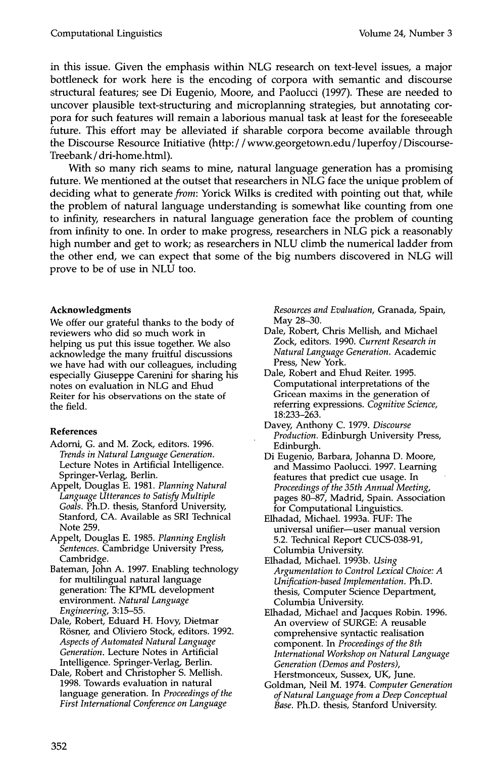in this issue. Given the emphasis within NLG research on text-level issues, a major bottleneck for work here is the encoding of corpora with semantic and discourse structural features; see Di Eugenio, Moore, and Paolucci (1997). These are needed to uncover plausible text-structuring and microplanning strategies, but annotating corpora for such features will remain a laborious manual task at least for the foreseeable future. This effort may be alleviated if sharable corpora become available through the Discourse Resource Initiative (http://www.georgetown.edu/luperfoy/Discourse-Treebank / dri-home.html).

With so many rich seams to mine, natural language generation has a promising future. We mentioned at the outset that researchers in NLG face the unique problem of deciding what to generate *from*: Yorick Wilks is credited with pointing out that, while the problem of natural language understanding is somewhat like counting from one to infinity, researchers in natural language generation face the problem of counting from infinity to one. In order to make progress, researchers in NLG pick a reasonably high number and get to work; as researchers in NLU climb the numerical ladder from the other end, we can expect that some of the big numbers discovered in NLG will prove to be of use in NLU too.

## **Acknowledgments**

We offer our grateful thanks to the body of reviewers who did so much work in helping us put this issue together. We also acknowledge the many fruitful discussions we have had with our colleagues, including especially Giuseppe Carenini for sharing his notes on evaluation in NLG and Ehud Reiter for his observations on the state of the field.

## **References**

- Adorni, G. and M. Zock, editors. 1996. *Trends in Natural Language Generation.*  Lecture Notes in Artificial Intelligence. Springer-Verlag, Berlin.
- Appelt, Douglas E. 1981. *Planning Natural Language Utterances to Satisfy Multiple Goals.* Ph.D. thesis, Stanford University, Stanford, CA. Available as SRI Technical Note 259.
- Appelt, Douglas E. 1985. *Planning English Sentences.* Cambridge University Press, Cambridge.

Bateman, John A. 1997. Enabling technology for multilingual natural language generation: The KPML development environment. *Natural Language Engineering,* 3:15-55.

Dale, Robert, Eduard H. Hovy, Dietmar Rösner, and Oliviero Stock, editors. 1992. *Aspects of Automated Natural Language Generation.* Lecture Notes in Artificial Intelligence. Springer-Verlag, Berlin.

Dale, Robert and Christopher S. Mellish. 1998. Towards evaluation in natural language generation. In *Proceedings of the First International Conference on Language* 

*Resources and Evaluation,* Granada, Spain, May 28-30.

- Dale, Robert, Chris Mellish, and Michael Zock, editors. 1990. *Current Research in Natural Language Generation.* Academic Press, New York.
- Dale, Robert and Ehud Reiter. 1995. Computational interpretations of the Gricean maxims in the generation of referring expressions. *Cognitive Science,*  18:233-263.
- Davey, Anthony C. 1979. *Discourse Production.* Edinburgh University Press, Edinburgh.
- Di Eugenio, Barbara, Johanna D. Moore, and Massimo Paolucci. 1997. Learning features that predict cue usage. In *Proceedings of the 35th Annual Meeting,*  pages 80-87, Madrid, Spain. Association for Computational Linguistics.
- Elhadad, Michael. 1993a. FUF: The universal unifier-user manual version 5.2. Technical Report CUCS-038-91, Columbia University.
- Elhadad, Michael. 1993b. *Using Argumentation to Control Lexical Choice: A Unification-based Implementation.* Ph.D. thesis, Computer Science Department, Columbia University.
- Elhadad, Michael and Jacques Robin. 1996. An overview of SURGE: A reusable comprehensive syntactic realisation component. In *Proceedings of the 8th International Workshop on Natural Language Generation (Demos and Posters),*  Herstmonceux, Sussex, UK, June.
- Goldman, Neil M. 1974. *Computer Generation of Natural Language from a Deep Conceptual Base.* Ph.D. thesis, Stanford University.